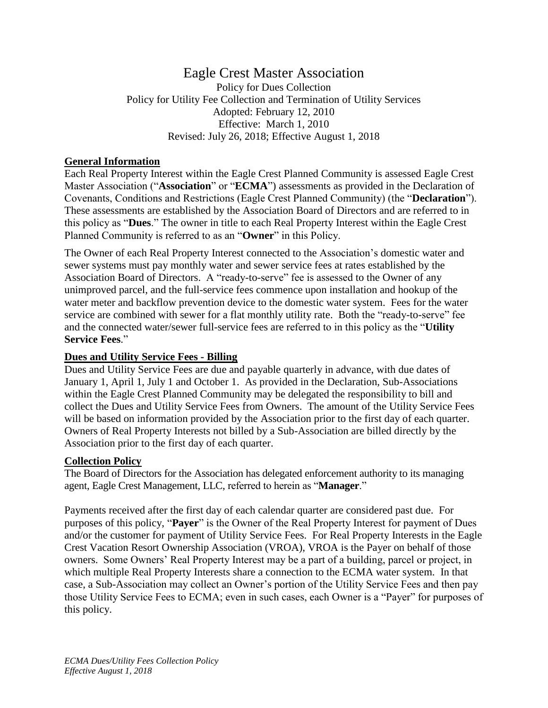# Eagle Crest Master Association Policy for Dues Collection Policy for Utility Fee Collection and Termination of Utility Services Adopted: February 12, 2010 Effective: March 1, 2010 Revised: July 26, 2018; Effective August 1, 2018

### **General Information**

Each Real Property Interest within the Eagle Crest Planned Community is assessed Eagle Crest Master Association ("**Association**" or "**ECMA**") assessments as provided in the Declaration of Covenants, Conditions and Restrictions (Eagle Crest Planned Community) (the "**Declaration**"). These assessments are established by the Association Board of Directors and are referred to in this policy as "**Dues**." The owner in title to each Real Property Interest within the Eagle Crest Planned Community is referred to as an "**Owner**" in this Policy.

The Owner of each Real Property Interest connected to the Association's domestic water and sewer systems must pay monthly water and sewer service fees at rates established by the Association Board of Directors. A "ready-to-serve" fee is assessed to the Owner of any unimproved parcel, and the full-service fees commence upon installation and hookup of the water meter and backflow prevention device to the domestic water system. Fees for the water service are combined with sewer for a flat monthly utility rate. Both the "ready-to-serve" fee and the connected water/sewer full-service fees are referred to in this policy as the "**Utility Service Fees**."

#### **Dues and Utility Service Fees - Billing**

Dues and Utility Service Fees are due and payable quarterly in advance, with due dates of January 1, April 1, July 1 and October 1. As provided in the Declaration, Sub-Associations within the Eagle Crest Planned Community may be delegated the responsibility to bill and collect the Dues and Utility Service Fees from Owners. The amount of the Utility Service Fees will be based on information provided by the Association prior to the first day of each quarter. Owners of Real Property Interests not billed by a Sub-Association are billed directly by the Association prior to the first day of each quarter.

#### **Collection Policy**

The Board of Directors for the Association has delegated enforcement authority to its managing agent, Eagle Crest Management, LLC, referred to herein as "**Manager**."

Payments received after the first day of each calendar quarter are considered past due. For purposes of this policy, "**Payer**" is the Owner of the Real Property Interest for payment of Dues and/or the customer for payment of Utility Service Fees. For Real Property Interests in the Eagle Crest Vacation Resort Ownership Association (VROA), VROA is the Payer on behalf of those owners. Some Owners' Real Property Interest may be a part of a building, parcel or project, in which multiple Real Property Interests share a connection to the ECMA water system. In that case, a Sub-Association may collect an Owner's portion of the Utility Service Fees and then pay those Utility Service Fees to ECMA; even in such cases, each Owner is a "Payer" for purposes of this policy.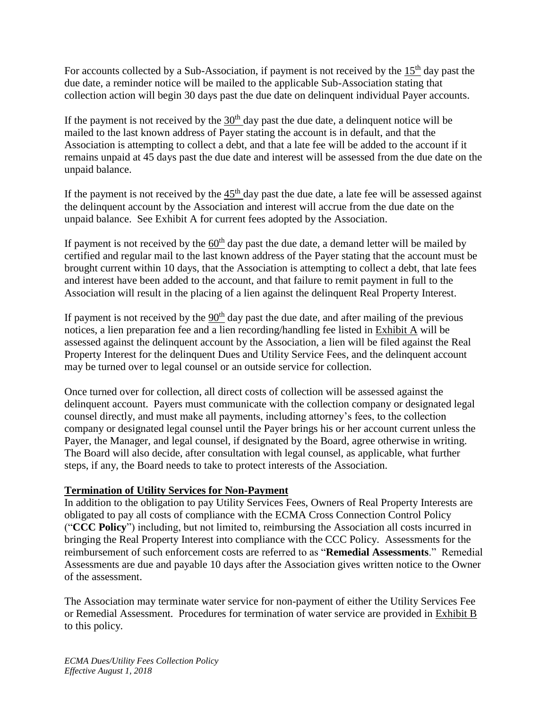For accounts collected by a Sub-Association, if payment is not received by the  $15<sup>th</sup>$  day past the due date, a reminder notice will be mailed to the applicable Sub-Association stating that collection action will begin 30 days past the due date on delinquent individual Payer accounts.

If the payment is not received by the  $30<sup>th</sup>$  day past the due date, a delinquent notice will be mailed to the last known address of Payer stating the account is in default, and that the Association is attempting to collect a debt, and that a late fee will be added to the account if it remains unpaid at 45 days past the due date and interest will be assessed from the due date on the unpaid balance.

If the payment is not received by the  $45<sup>th</sup>$  day past the due date, a late fee will be assessed against the delinquent account by the Association and interest will accrue from the due date on the unpaid balance. See Exhibit A for current fees adopted by the Association.

If payment is not received by the  $60<sup>th</sup>$  day past the due date, a demand letter will be mailed by certified and regular mail to the last known address of the Payer stating that the account must be brought current within 10 days, that the Association is attempting to collect a debt, that late fees and interest have been added to the account, and that failure to remit payment in full to the Association will result in the placing of a lien against the delinquent Real Property Interest.

If payment is not received by the  $90<sup>th</sup>$  day past the due date, and after mailing of the previous notices, a lien preparation fee and a lien recording/handling fee listed in Exhibit A will be assessed against the delinquent account by the Association, a lien will be filed against the Real Property Interest for the delinquent Dues and Utility Service Fees, and the delinquent account may be turned over to legal counsel or an outside service for collection.

Once turned over for collection, all direct costs of collection will be assessed against the delinquent account. Payers must communicate with the collection company or designated legal counsel directly, and must make all payments, including attorney's fees, to the collection company or designated legal counsel until the Payer brings his or her account current unless the Payer, the Manager, and legal counsel, if designated by the Board, agree otherwise in writing. The Board will also decide, after consultation with legal counsel, as applicable, what further steps, if any, the Board needs to take to protect interests of the Association.

#### **Termination of Utility Services for Non-Payment**

In addition to the obligation to pay Utility Services Fees, Owners of Real Property Interests are obligated to pay all costs of compliance with the ECMA Cross Connection Control Policy ("**CCC Policy**") including, but not limited to, reimbursing the Association all costs incurred in bringing the Real Property Interest into compliance with the CCC Policy. Assessments for the reimbursement of such enforcement costs are referred to as "**Remedial Assessments**." Remedial Assessments are due and payable 10 days after the Association gives written notice to the Owner of the assessment.

The Association may terminate water service for non-payment of either the Utility Services Fee or Remedial Assessment. Procedures for termination of water service are provided in Exhibit B to this policy.

*ECMA Dues/Utility Fees Collection Policy Effective August 1, 2018*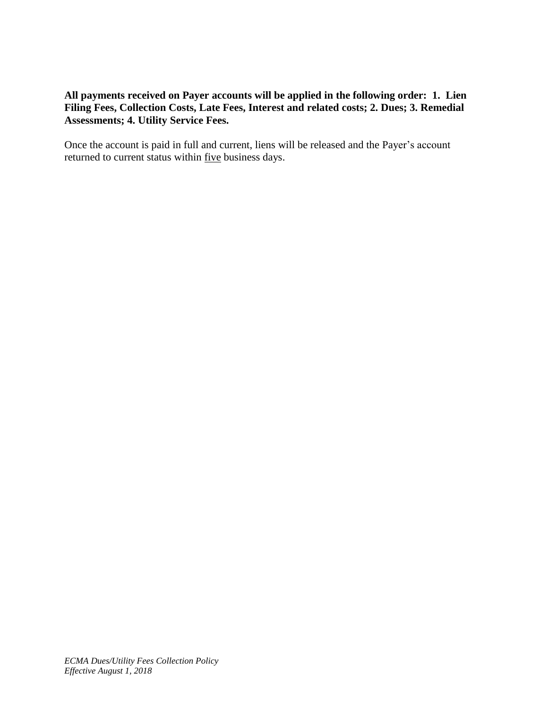## **All payments received on Payer accounts will be applied in the following order: 1. Lien Filing Fees, Collection Costs, Late Fees, Interest and related costs; 2. Dues; 3. Remedial Assessments; 4. Utility Service Fees.**

Once the account is paid in full and current, liens will be released and the Payer's account returned to current status within five business days.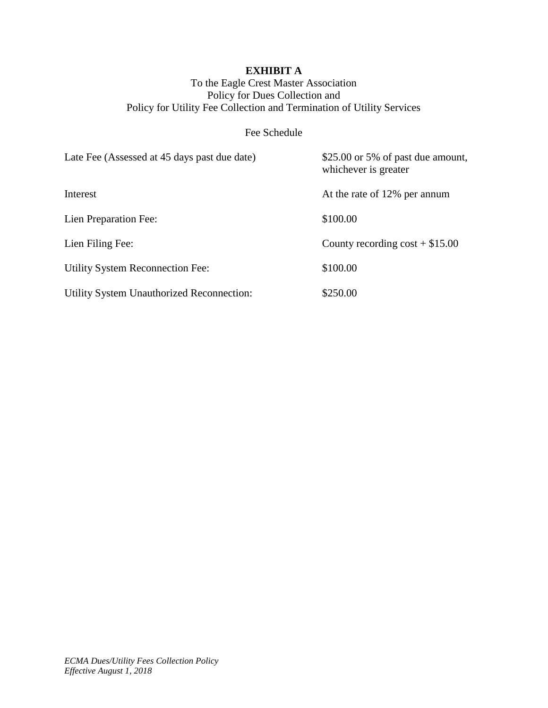# **EXHIBIT A**

## To the Eagle Crest Master Association Policy for Dues Collection and Policy for Utility Fee Collection and Termination of Utility Services

# Fee Schedule

| Late Fee (Assessed at 45 days past due date)     | \$25.00 or 5% of past due amount,<br>whichever is greater |
|--------------------------------------------------|-----------------------------------------------------------|
| Interest                                         | At the rate of 12% per annum                              |
| Lien Preparation Fee:                            | \$100.00                                                  |
| Lien Filing Fee:                                 | County recording $\cos t + $15.00$                        |
| <b>Utility System Reconnection Fee:</b>          | \$100.00                                                  |
| <b>Utility System Unauthorized Reconnection:</b> | \$250.00                                                  |